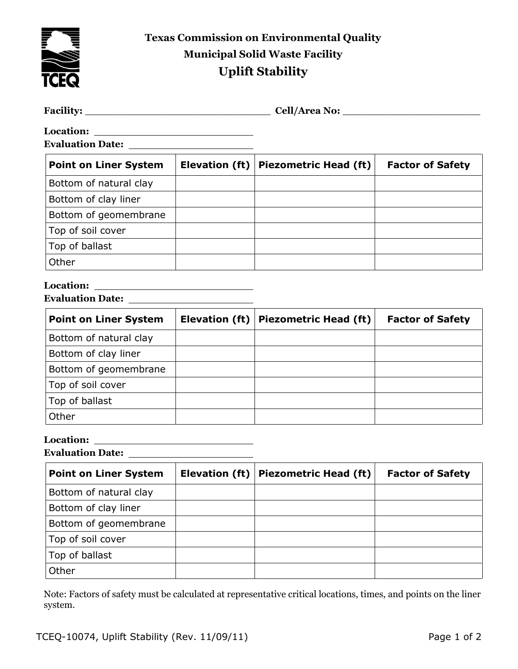

**Texas Commission on Environmental Quality Municipal Solid Waste Facility Uplift Stability**

| <b>Facility:</b> | Cell<br>: No<br>$\mathbf{m}$<br>. |
|------------------|-----------------------------------|
|                  |                                   |

**Location: Evaluation Date:** 

| <b>Point on Liner System</b> | Elevation (ft)   Piezometric Head (ft) | <b>Factor of Safety</b> |
|------------------------------|----------------------------------------|-------------------------|
| Bottom of natural clay       |                                        |                         |
| Bottom of clay liner         |                                        |                         |
| Bottom of geomembrane        |                                        |                         |
| Top of soil cover            |                                        |                         |
| Top of ballast               |                                        |                         |
| Other                        |                                        |                         |

### **Location:**

| <b>Point on Liner System</b> | Elevation (ft)   Piezometric Head (ft) | <b>Factor of Safety</b> |
|------------------------------|----------------------------------------|-------------------------|
| Bottom of natural clay       |                                        |                         |
| Bottom of clay liner         |                                        |                         |
| Bottom of geomembrane        |                                        |                         |
| Top of soil cover            |                                        |                         |
| Top of ballast               |                                        |                         |
| Other                        |                                        |                         |

# **Location:**

**Evaluation Date:** 

| <b>Point on Liner System</b> | Elevation (ft)   Piezometric Head (ft) | <b>Factor of Safety</b> |
|------------------------------|----------------------------------------|-------------------------|
| Bottom of natural clay       |                                        |                         |
| Bottom of clay liner         |                                        |                         |
| Bottom of geomembrane        |                                        |                         |
| Top of soil cover            |                                        |                         |
| Top of ballast               |                                        |                         |
| Other                        |                                        |                         |

Note: Factors of safety must be calculated at representative critical locations, times, and points on the liner system.